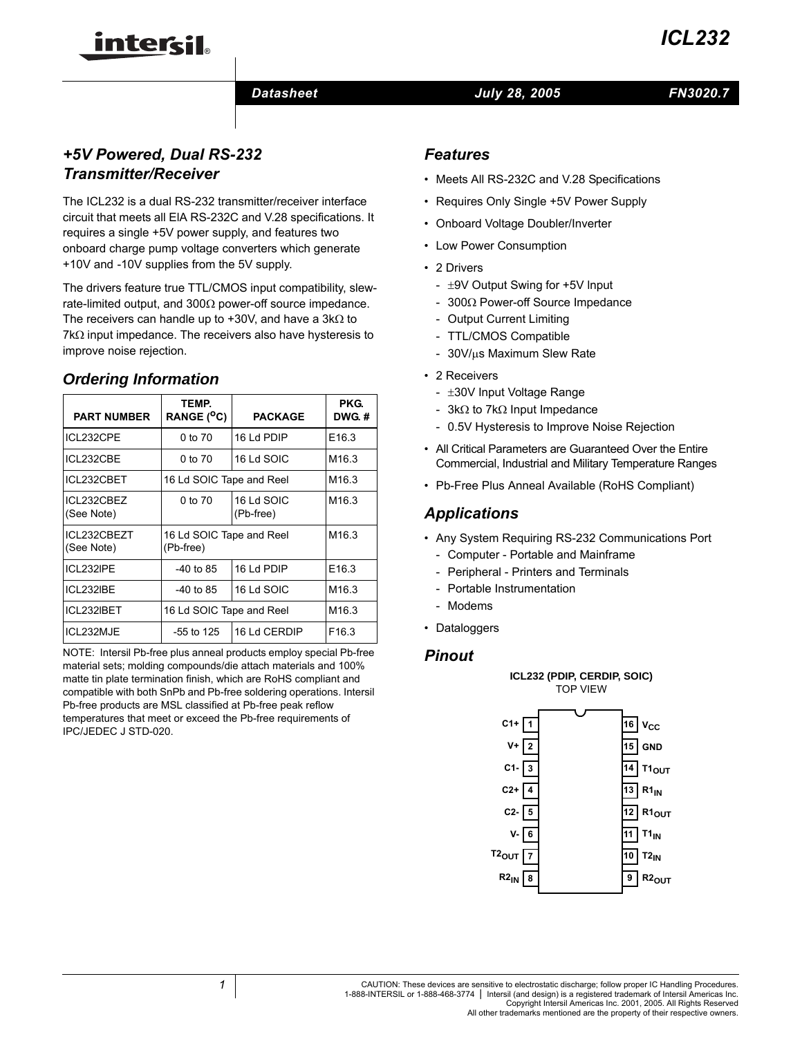#### *Datasheet FN3020.7 July 28, 2005*

# *+5V Powered, Dual RS-232 Transmitter/Receiver*

inter<del>cil</del>

The ICL232 is a dual RS-232 transmitter/receiver interface circuit that meets all ElA RS-232C and V.28 specifications. It requires a single +5V power supply, and features two onboard charge pump voltage converters which generate +10V and -10V supplies from the 5V supply.

The drivers feature true TTL/CMOS input compatibility, slewrate-limited output, and 300Ω power-off source impedance. The receivers can handle up to +30V, and have a 3kΩ to 7kΩ input impedance. The receivers also have hysteresis to improve noise rejection.

# **Ordering Information**

| <b>PART NUMBER</b>        | TEMP.<br>RANGE ( <sup>O</sup> C)      | <b>PACKAGE</b>          | PKG.<br>DWG.#     |
|---------------------------|---------------------------------------|-------------------------|-------------------|
| ICL232CPE                 | 0 to 70                               | 16 Ld PDIP              | E <sub>16.3</sub> |
| ICL232CBE                 | 0 to 70                               | 16 Ld SOIC              | M <sub>16.3</sub> |
| ICL232CBET                | 16 Ld SOIC Tape and Reel              |                         | M <sub>16.3</sub> |
| ICL232CBEZ<br>(See Note)  | 0 to 70                               | 16 Ld SOIC<br>(Pb-free) | M <sub>16.3</sub> |
| ICL232CBEZT<br>(See Note) | 16 Ld SOIC Tape and Reel<br>(Pb-free) |                         | M <sub>16.3</sub> |
| ICL232IPE                 | -40 to 85                             | 16 Ld PDIP              | E <sub>16.3</sub> |
| ICL232IBE                 | -40 to 85                             | 16 Ld SOIC              | M <sub>16.3</sub> |
| ICL232IBET                | 16 Ld SOIC Tape and Reel              |                         | M <sub>16.3</sub> |
| ICL232MJE                 | $-55$ to 125                          | 16 Ld CERDIP            | F <sub>16.3</sub> |

NOTE: Intersil Pb-free plus anneal products employ special Pb-free material sets; molding compounds/die attach materials and 100% matte tin plate termination finish, which are RoHS compliant and compatible with both SnPb and Pb-free soldering operations. Intersil Pb-free products are MSL classified at Pb-free peak reflow temperatures that meet or exceed the Pb-free requirements of IPC/JEDEC J STD-020.

#### *Features*

- Meets All RS-232C and V.28 Specifications
- Requires Only Single +5V Power Supply
- Onboard Voltage Doubler/Inverter
- Low Power Consumption
- 2 Drivers
	- ±9V Output Swing for +5V lnput
	- 300Ω Power-off Source Impedance
	- Output Current Limiting
	- TTL/CMOS Compatible
	- 30V/µs Maximum Slew Rate
- 2 Receivers
	- ±30V Input Voltage Range
	- 3kΩ to 7kΩ Input Impedance
	- 0.5V Hysteresis to Improve Noise Rejection
- All Critical Parameters are Guaranteed Over the Entire Commercial, Industrial and Military Temperature Ranges
- Pb-Free Plus Anneal Available (RoHS Compliant)

## *Applications*

- Any System Requiring RS-232 Communications Port
- Computer Portable and Mainframe
- Peripheral Printers and Terminals
- Portable Instrumentation
- Modems
- Dataloggers

#### *Pinout*

**ICL232 (PDIP, CERDIP, SOIC)** TOP VIEW

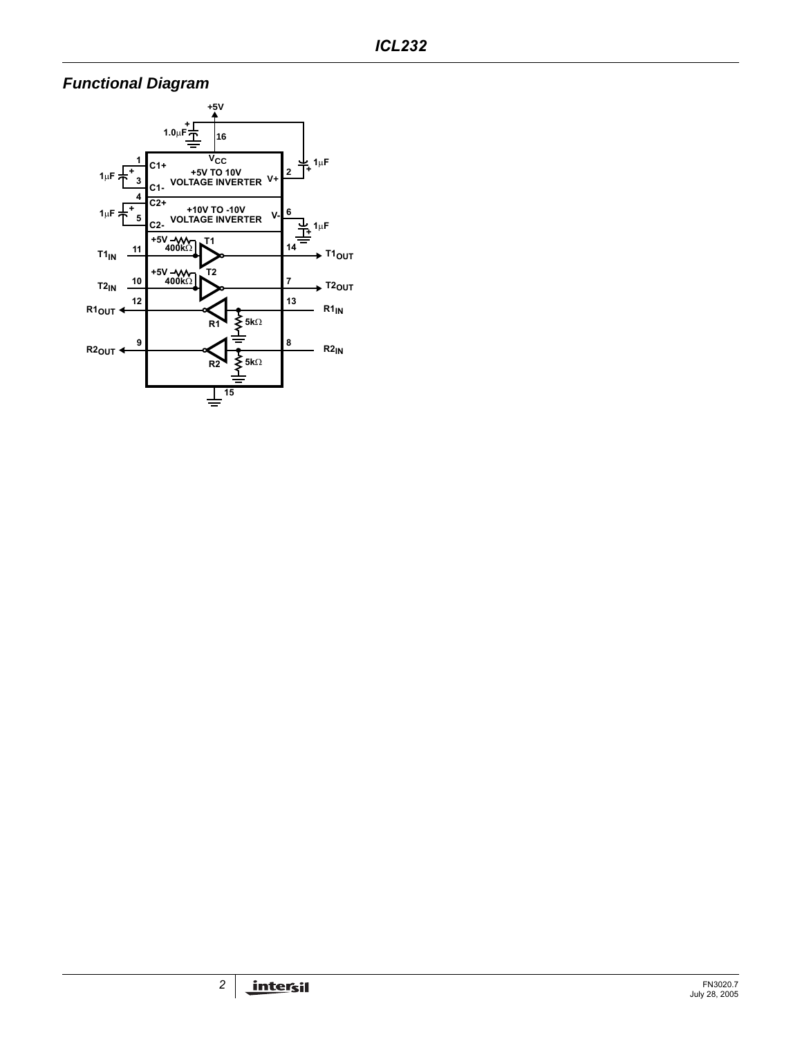# **Functional Diagram**

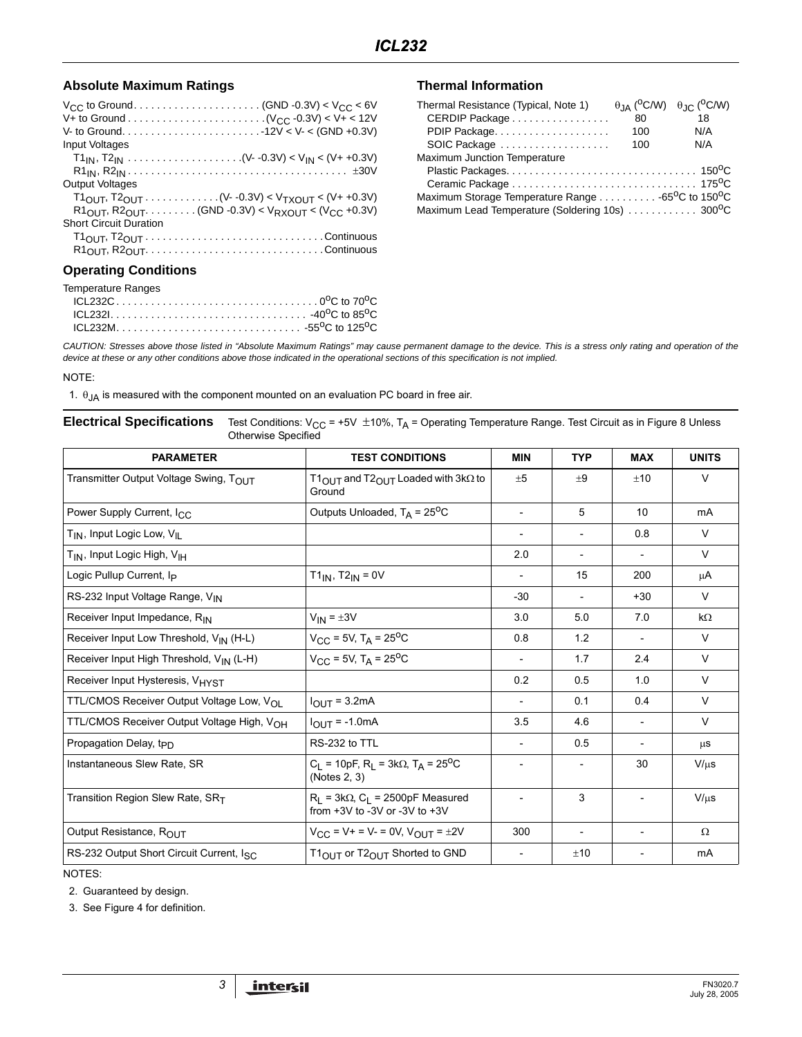#### Absolute Maximum Ratings **National Information** Thermal Information

| Input Voltages                                                                                    |  |
|---------------------------------------------------------------------------------------------------|--|
|                                                                                                   |  |
|                                                                                                   |  |
| <b>Output Voltages</b>                                                                            |  |
| $T1_{\text{OUT}}$ , $T2_{\text{OUT}}$ (V- -0.3V) < $V_{\text{TXOUIT}}$ < (V+ +0.3V)               |  |
| $R1_{\text{OUT}}$ , $R2_{\text{OUT}}$ (GND -0.3V) < $V_{\text{RXOUT}}$ < ( $V_{\text{CC}}$ +0.3V) |  |
| <b>Short Circuit Duration</b>                                                                     |  |
| $T1OUT, T2OUT.\dots \dots \dots \dots \dots \dots \dots \dots \dots \dots$                        |  |
|                                                                                                   |  |
|                                                                                                   |  |

### **Operating Conditions**

| <b>Temperature Ranges</b> |  |
|---------------------------|--|
|                           |  |
|                           |  |
|                           |  |

| Thermal Resistance (Typical, Note 1)                                      |     | $\theta$ JA ( <sup>O</sup> C/W) $\theta$ JC ( <sup>O</sup> C/W) |
|---------------------------------------------------------------------------|-----|-----------------------------------------------------------------|
| CERDIP Package                                                            | 80  | 18                                                              |
| PDIP Package                                                              | 100 | N/A                                                             |
| SOIC Package                                                              | 100 | N/A                                                             |
| Maximum Junction Temperature                                              |     |                                                                 |
|                                                                           |     |                                                                 |
|                                                                           |     |                                                                 |
| Maximum Storage Temperature Range 65 <sup>o</sup> C to 150 <sup>o</sup> C |     |                                                                 |
| Maximum Lead Temperature (Soldering 10s)  300°C                           |     |                                                                 |

CAUTION: Stresses above those listed in "Absolute Maximum Ratings" may cause permanent damage to the device. This is a stress only rating and operation of the device at these or any other conditions above those indicated in the operational sections of this specification is not implied.

NOTE:

1.  $\theta$ <sub>JA</sub> is measured with the component mounted on an evaluation PC board in free air.

#### **Electrical Specifications** Test Conditions: V<sub>CC</sub> = +5V ±10%, T<sub>A</sub> = Operating Temperature Range. Test Circuit as in Figure 8 Unless Otherwise Specified

| <b>PARAMETER</b>                                       | <b>TEST CONDITIONS</b>                                                                          | <b>MIN</b>               | <b>TYP</b>               | <b>MAX</b>               | <b>UNITS</b> |
|--------------------------------------------------------|-------------------------------------------------------------------------------------------------|--------------------------|--------------------------|--------------------------|--------------|
| Transmitter Output Voltage Swing, T <sub>OUT</sub>     | T1 $_{\text{OUT}}$ and T2 $_{\text{OUT}}$ Loaded with 3k $\Omega$ to<br>Ground                  | ±5                       | ±9                       | ±10                      | $\vee$       |
| Power Supply Current, I <sub>CC</sub>                  | Outputs Unloaded, $T_A = 25^{\circ}C$                                                           | $\overline{\phantom{a}}$ | 5                        | 10                       | mA           |
| T <sub>IN</sub> , Input Logic Low, V <sub>IL</sub>     |                                                                                                 | $\overline{\phantom{a}}$ |                          | 0.8                      | $\vee$       |
| T <sub>IN</sub> , Input Logic High, V <sub>IH</sub>    |                                                                                                 | 2.0                      |                          |                          | $\vee$       |
| Logic Pullup Current, I <sub>P</sub>                   | $T1_{IN}$ , $T2_{IN}$ = 0V                                                                      | $\overline{\phantom{a}}$ | 15                       | 200                      | μA           |
| RS-232 Input Voltage Range, VIN                        |                                                                                                 | $-30$                    | $\overline{\phantom{0}}$ | $+30$                    | $\vee$       |
| Receiver Input Impedance, RIN                          | $V_{IN} = \pm 3V$                                                                               | 3.0                      | 5.0                      | 7.0                      | $k\Omega$    |
| Receiver Input Low Threshold, V <sub>IN</sub> (H-L)    | $V_{CC}$ = 5V, T <sub>A</sub> = 25 <sup>o</sup> C                                               | 0.8                      | 1.2                      | $\overline{\phantom{0}}$ | $\vee$       |
| Receiver Input High Threshold, V <sub>IN</sub> (L-H)   | $V_{CC}$ = 5V, T <sub>A</sub> = 25 <sup>o</sup> C                                               | $\overline{\phantom{a}}$ | 1.7                      | 2.4                      | $\vee$       |
| Receiver Input Hysteresis, V <sub>HYST</sub>           |                                                                                                 | 0.2                      | 0.5                      | 1.0                      | $\vee$       |
| TTL/CMOS Receiver Output Voltage Low, VOL              | $IOIJT = 3.2mA$                                                                                 |                          | 0.1                      | 0.4                      | $\vee$       |
| TTL/CMOS Receiver Output Voltage High, V <sub>OH</sub> | $I_{OUT} = -1.0mA$                                                                              | 3.5                      | 4.6                      |                          | $\vee$       |
| Propagation Delay, t <sub>PD</sub>                     | RS-232 to TTL                                                                                   |                          | 0.5                      |                          | $\mu$ s      |
| Instantaneous Slew Rate, SR                            | $C_1$ = 10pF, R <sub>L</sub> = 3k $\Omega$ , T <sub>A</sub> = 25 <sup>o</sup> C<br>(Notes 2, 3) |                          | $\overline{\phantom{a}}$ | 30                       | $V/\mu s$    |
| Transition Region Slew Rate, SR <sub>T</sub>           | $R_1$ = 3k $\Omega$ , C <sub>1</sub> = 2500pF Measured<br>from $+3V$ to -3V or -3V to $+3V$     | $\overline{\phantom{a}}$ | 3                        |                          | $V/\mu s$    |
| Output Resistance, ROUT                                | $V_{CC}$ = V + = V - = 0V, $V_{OUT}$ = $±2V$                                                    | 300                      | $\overline{\phantom{a}}$ |                          | $\Omega$     |
| RS-232 Output Short Circuit Current, Isc.              | T1 <sub>OUT</sub> or T2 <sub>OUT</sub> Shorted to GND                                           | $\overline{\phantom{a}}$ | ±10                      |                          | mA           |

NOTES:

2. Guaranteed by design.

3. See Figure 4 for definition.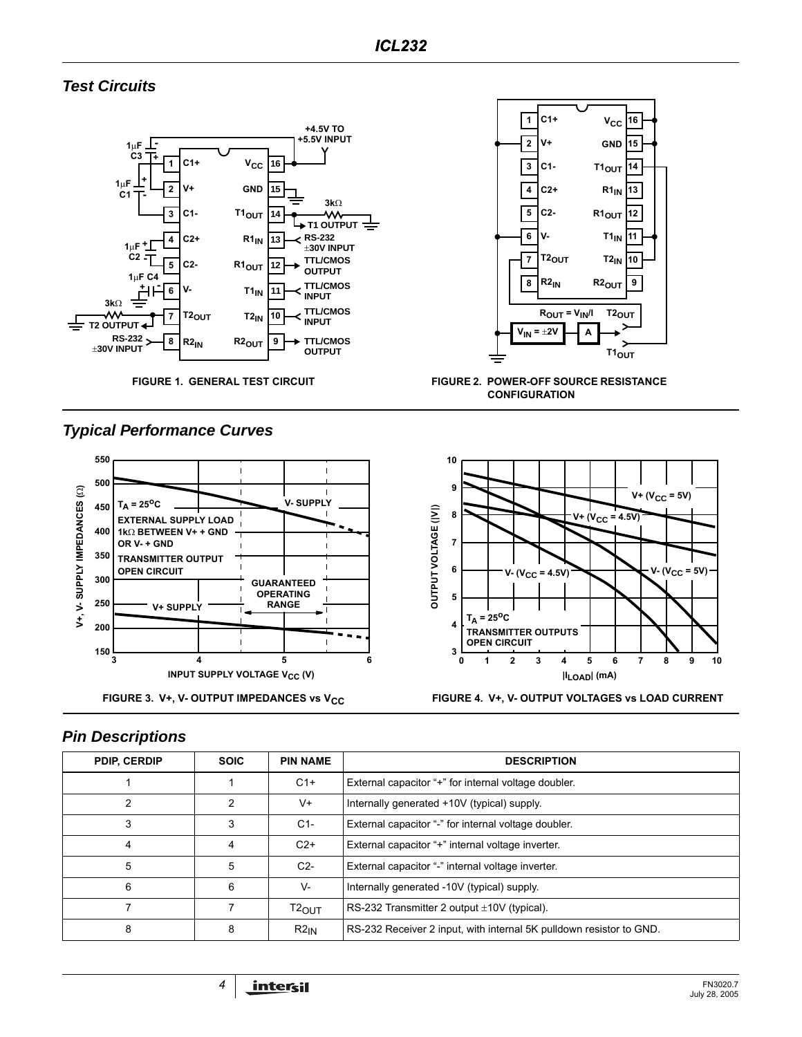# **Test Circuits**





**FIGURE 1. GENERAL TEST CIRCUIT FIGURE 2. POWER-OFF SOURCE RESISTANCE CONFIGURATION**





# **Typical Performance Curves**



# **Pin Descriptions**

| <b>PDIP, CERDIP</b> | <b>SOIC</b> | <b>PIN NAME</b>   | <b>DESCRIPTION</b>                                                  |
|---------------------|-------------|-------------------|---------------------------------------------------------------------|
|                     |             | $C1+$             | External capacitor "+" for internal voltage doubler.                |
| 2                   | 2           | V+                | Internally generated +10V (typical) supply.                         |
| 3                   | 3           | $C1-$             | External capacitor "-" for internal voltage doubler.                |
| 4                   | 4           | $C2+$             | External capacitor "+" internal voltage inverter.                   |
| 5                   | 5           | $C2-$             | External capacitor "-" internal voltage inverter.                   |
| 6                   | 6           | V-                | Internally generated -10V (typical) supply.                         |
|                     |             | $T2_{\text{OUT}}$ | RS-232 Transmitter 2 output $\pm 10V$ (typical).                    |
| 8                   | 8           | $R2_{IN}$         | RS-232 Receiver 2 input, with internal 5K pulldown resistor to GND. |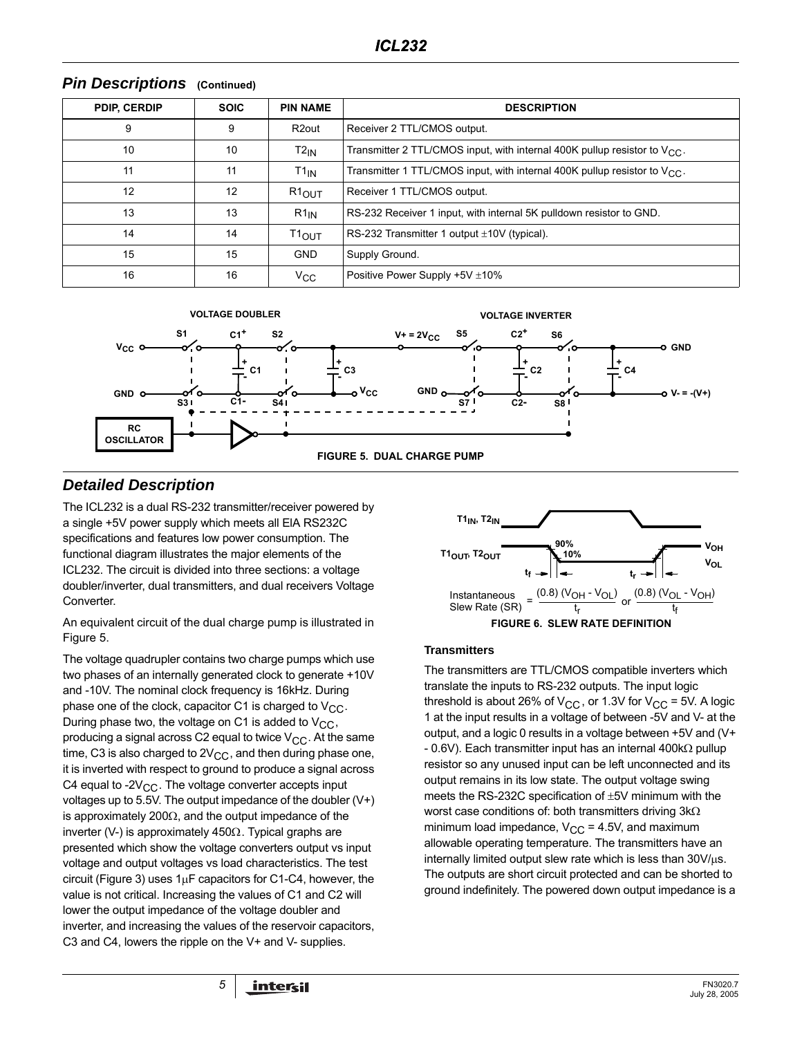| <b>PDIP, CERDIP</b> | <b>SOIC</b> | <b>PIN NAME</b>    | <b>DESCRIPTION</b>                                                             |
|---------------------|-------------|--------------------|--------------------------------------------------------------------------------|
| 9                   | 9           | R <sub>2</sub> out | Receiver 2 TTL/CMOS output.                                                    |
| 10                  | 10          | $T2_{IN}$          | Transmitter 2 TTL/CMOS input, with internal 400K pullup resistor to $V_{CC}$ . |
| 11                  | 11          | $T1_{IN}$          | Transmitter 1 TTL/CMOS input, with internal 400K pullup resistor to $V_{CC}$ . |
| 12                  | 12          | $R1_{OUT}$         | Receiver 1 TTL/CMOS output.                                                    |
| 13                  | 13          | $R1_{IN}$          | RS-232 Receiver 1 input, with internal 5K pulldown resistor to GND.            |
| 14                  | 14          | $T1_{OUT}$         | RS-232 Transmitter 1 output $\pm$ 10V (typical).                               |
| 15                  | 15          | <b>GND</b>         | Supply Ground.                                                                 |
| 16                  | 16          | $V_{\rm CC}$       | Positive Power Supply $+5V \pm 10\%$                                           |

#### **Pin Descriptions (Continued)**



# **Detailed Description**

The ICL232 is a dual RS-232 transmitter/receiver powered by a single +5V power supply which meets all ElA RS232C specifications and features low power consumption. The functional diagram illustrates the major elements of the ICL232. The circuit is divided into three sections: a voltage doubler/inverter, dual transmitters, and dual receivers Voltage Converter.

An equivalent circuit of the dual charge pump is illustrated in Figure 5.

The voltage quadrupler contains two charge pumps which use two phases of an internally generated clock to generate +10V and -10V. The nominal clock frequency is 16kHz. During phase one of the clock, capacitor C1 is charged to  $V_{CC}$ . During phase two, the voltage on C1 is added to  $V_{CC}$ , producing a signal across C2 equal to twice  $V_{CC}$ . At the same time, C3 is also charged to  $2V_{CC}$ , and then during phase one, it is inverted with respect to ground to produce a signal across C4 equal to -2 $V_{CC}$ . The voltage converter accepts input voltages up to 5.5V. The output impedance of the doubler (V+) is approximately 200 $\Omega$ , and the output impedance of the inverter (V-) is approximately 450Ω. Typical graphs are presented which show the voltage converters output vs input voltage and output voltages vs load characteristics. The test circuit (Figure 3) uses  $1\mu$ F capacitors for C1-C4, however, the value is not critical. Increasing the values of C1 and C2 will lower the output impedance of the voltage doubler and inverter, and increasing the values of the reservoir capacitors, C3 and C4, lowers the ripple on the V+ and V- supplies.



#### **Transmitters**

The transmitters are TTL/CMOS compatible inverters which translate the inputs to RS-232 outputs. The input logic threshold is about 26% of  $V_{CC}$ , or 1.3V for  $V_{CC}$  = 5V. A logic 1 at the input results in a voltage of between -5V and V- at the output, and a logic 0 results in a voltage between +5V and (V+ - 0.6V). Each transmitter input has an internal 400kΩ pullup resistor so any unused input can be left unconnected and its output remains in its low state. The output voltage swing meets the RS-232C specification of ±5V minimum with the worst case conditions of: both transmitters driving 3kΩ minimum load impedance,  $V_{CC} = 4.5V$ , and maximum allowable operating temperature. The transmitters have an internally limited output slew rate which is less than  $30V/\mu s$ . The outputs are short circuit protected and can be shorted to ground indefinitely. The powered down output impedance is a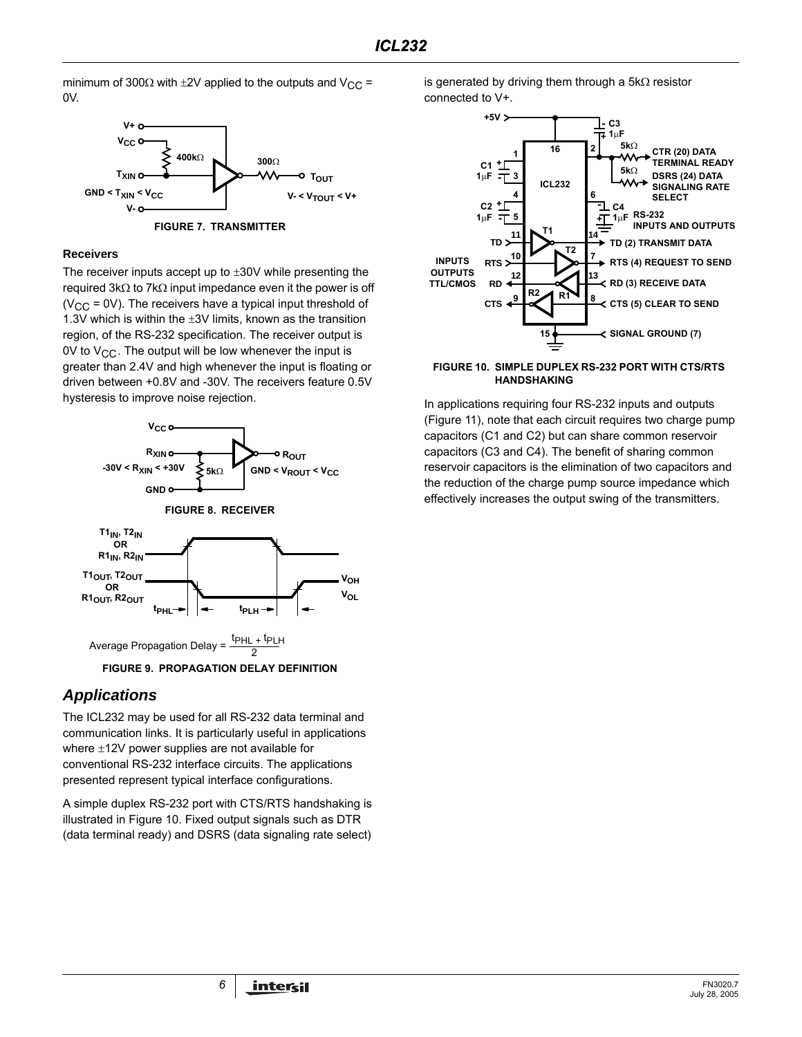minimum of 300 $\Omega$  with  $\pm 2V$  applied to the outputs and  $V_{CC}$  = 0V.



**FIGURE 7. TRANSMITTER**

#### **Receivers**

The receiver inputs accept up to ±30V while presenting the required 3kΩ to 7kΩ input impedance even it the power is off ( $V_{CC}$  = 0V). The receivers have a typical input threshold of 1.3V which is within the  $\pm 3V$  limits, known as the transition region, of the RS-232 specification. The receiver output is 0V to  $V_{CC}$ . The output will be low whenever the input is greater than 2.4V and high whenever the input is floating or driven between +0.8V and -30V. The receivers feature 0.5V hysteresis to improve noise rejection.



**FIGURE 9. PROPAGATION DELAY DEFINITION**

### **Applications**

The ICL232 may be used for all RS-232 data terminal and communication links. It is particularly useful in applications where ±12V power supplies are not available for conventional RS-232 interface circuits. The applications presented represent typical interface configurations.

A simple duplex RS-232 port with CTS/RTS handshaking is illustrated in Figure 10. Fixed output signals such as DTR (data terminal ready) and DSRS (data signaling rate select) is generated by driving them through a 5kΩ resistor connected to V+.



#### **FIGURE 10. SIMPLE DUPLEX RS-232 PORT WITH CTS/RTS HANDSHAKING**

In applications requiring four RS-232 inputs and outputs (Figure 11), note that each circuit requires two charge pump capacitors (C1 and C2) but can share common reservoir capacitors (C3 and C4). The benefit of sharing common reservoir capacitors is the elimination of two capacitors and the reduction of the charge pump source impedance which effectively increases the output swing of the transmitters.